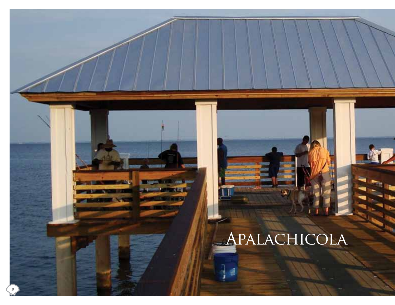# Apalachicola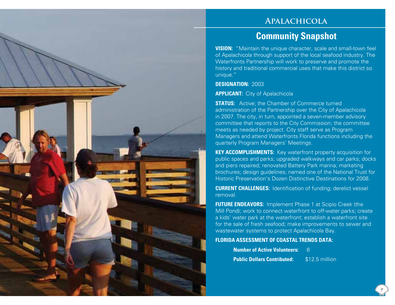## **Apalachicola**

## **Community Snapshot**

**VISION:** "Maintain the unique character, scale and small-town feel of Apalachicola through support of the local seafood industry. The Waterfronts Partnership will work to preserve and promote the history and traditional commercial uses that make this district so unique."

#### **DESIGNATION:** 2003

**APPLICANT:** City of Apalachicola

**STATUS:** Active: the Chamber of Commerce turned administration of the Partnership over the City of Apalachicola in 2007. The city, in turn, appointed a seven-member advisory committee that reports to the City Commission; the committee meets as needed by project. City staff serve as Program Managers and attend Waterfronts Florida functions including the quarterly Program Managers' Meetings.

**KEY ACCOMPLISHMENTS:** Key waterfront property acquisition for public spaces and parks; upgraded walkways and car parks; docks and piers repaired; renovated Battery Park marina; marketing brochures; design guidelines; named one of the National Trust for Historic Preservation's Dozen Distinctive Destinations for 2008.

**CURRENT CHALLENGES:** Identification of funding; derelict vessel removal.

**FUTURE ENDEAVORS:** Implement Phase 1 at Scipio Creek (the Mill Pond); work to connect waterfront to off-water parks; create a kids' water park at the waterfront; establish a waterfront site for the sale of fresh seafood; make improvements to sewer and wastewater systems to protect Apalachicola Bay.

#### **FLORIDA ASSESSMENT OF COASTAL TRENDS DATA:**

| <b>Number of Active Volunteers:</b> |                |
|-------------------------------------|----------------|
| <b>Public Dollars Contributed:</b>  | \$12.5 million |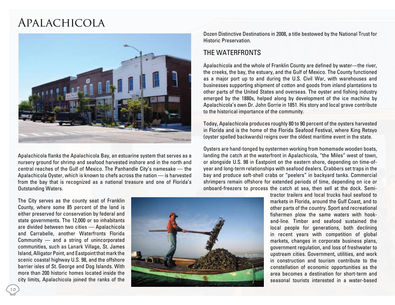# Apalachicola



Apalachicola flanks the Apalachicola Bay, an estuarine system that serves as a nursery ground for shrimp and seafood harvested inshore and in the north and central reaches of the Gulf of Mexico. The Panhandle City's namesake — the Apalachicola Oyster, which is known to chefs across the nation — is harvested from the bay that is recognized as a national treasure and one of Florida's Outstanding Waters.

The City serves as the county seat of Franklin County, where some 85 percent of the land is either preserved for conservation by federal and state governments. The 12,000 or so inhabitants are divided between two cities — Apalachicola and Carrabelle, another Waterfronts Florida Community — and a string of unincorporated communities, such as Lanark Village, St. James Island, Alligator Point, and Eastpoint that mark the scenic coastal highway U.S. 98, and the offshore barrier isles of St. George and Dog Islands. With more than 200 historic homes located inside the city limits, Apalachicola joined the ranks of the



Dozen Distinctive Destinations in 2008, a title bestowed by the National Trust for Historic Preservation.

### THE WATERFRONTS

Apalachicola and the whole of Franklin County are defined by water—the river, the creeks, the bay, the estuary, and the Gulf of Mexico. The County functioned as a major port up to and during the U.S. Civil War, with warehouses and businesses supporting shipment of cotton and goods from inland plantations to other parts of the United States and overseas. The oyster and fishing industry emerged by the 1880s, helped along by development of the ice machine by Apalachicola's own Dr. John Gorrie in 1851. His story and local grave contribute to the historical importance of the community.

Today, Apalachicola produces roughly 80 to 90 percent of the oysters harvested in Florida and is the home of the Florida Seafood Festival, where King Retsyo (oyster spelled backwards) reigns over the oldest maritime event in the state.

Oysters are hand-tonged by oystermen working from homemade wooden boats, landing the catch at the waterfront in Apalachicola, "the Miles" west of town, or alongside U.S. 98 in Eastpoint on the eastern shore, depending on time-ofyear and long-term relationships with seafood dealers. Crabbers set traps in the bay and produce soft-shell crabs or "peelers" in backyard tanks. Commercial shrimpers remain offshore for extended periods of time, depending on ice or onboard-freezers to process the catch at sea, then sell at the dock. Semi-

> tractor trailers and local trucks haul seafood to markets in Florida, around the Gulf Coast, and to other parts of the country. Sport and recreational fishermen plow the same waters with hookand-line. Timber and seafood sustained the local people for generations, both declining in recent years with competition of global markets, changes in corporate business plans, government regulation, and loss of freshwater to upstream cities. Government, utilities, and work in construction and tourism contribute to the constellation of economic opportunities as the area becomes a destination for short-term and seasonal tourists interested in a water-based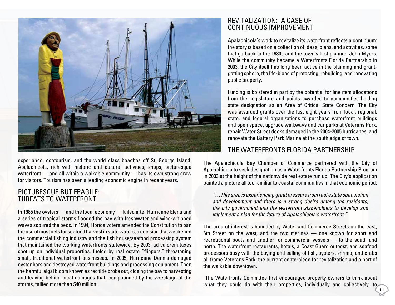

experience, ecotourism, and the world class beaches off St. George Island. Apalachicola, rich with historic and cultural activities, shops, picturesque waterfront — and all within a walkable community — has its own strong draw for visitors. Tourism has been a leading economic engine in recent years.

#### Picturesque But Fragile: THREATS TO WATERFRONT

In 1985 the oysters — and the local economy — failed after Hurricane Elena and a series of tropical storms flooded the bay with freshwater and wind-whipped waves scoured the beds. In 1994, Florida voters amended the Constitution to ban the use of most nets for seafood harvest in state waters, a decision that weakened the commercial fishing industry and the fish house/seafood processing system that maintained the working waterfronts statewide. By 2003, ad valorem taxes shot up on individual properties, fueled by real estate "flippers," threatening small, traditional waterfront businesses. In 2005, Hurricane Dennis damaged oyster bars and destroyed waterfront buildings and processing equipment. Then the harmful algal bloom known as red tide broke out, closing the bay to harvesting and leaving behind local damages that, compounded by the wreckage of the storms, tallied more than \$40 million.

### Revitalization: a Case of Continuous Improvement

Apalachicola's work to revitalize its waterfront reflects a continuum: the story is based on a collection of ideas, plans, and activities, some that go back to the 1980s and the town's first planner, John Myers. While the community became a Waterfronts Florida Partnership in 2003, the City itself has long been active in the planning and grantgetting sphere, the life-blood of protecting, rebuilding, and renovating public property.

Funding is bolstered in part by the potential for line item allocations from the Legislature and points awarded to communities holding state designation as an Area of Critical State Concern. The City was awarded grants over the last eight years from local, regional, state, and federal organizations to purchase waterfront buildings and open space, upgrade walkways and car parks at Veterans Park, repair Water Street docks damaged in the 2004-2005 hurricanes, and renovate the Battery Park Marina at the south edge of town.

#### The Waterfronts Florida Partnership

The Apalachicola Bay Chamber of Commerce partnered with the City of Apalachicola to seek designation as a Waterfronts Florida Partnership Program in 2003 at the height of the nationwide real estate run up. The City's application painted a picture all too familiar to coastal communities in that economic period:

*"…This area is experiencing great pressure from real estate speculation and development and there is a strong desire among the residents, the city government and the waterfront stakeholders to develop and implement a plan for the future of Apalachicola's waterfront."*

The area of interest is bounded by Water and Commerce Streets on the east, 6th Street on the west, and the two marinas — one known for sport and recreational boats and another for commercial vessels — to the south and north. The waterfront restaurants, hotels, a Coast Guard outpost, and seafood processors busy with the buying and selling of fish, oysters, shrimp, and crabs all frame Veterans Park, the current centerpiece for revitalization and a part of the walkable downtown.

 The Waterfronts Committee first encouraged property owners to think about what they could do with their properties, individually and collectively; to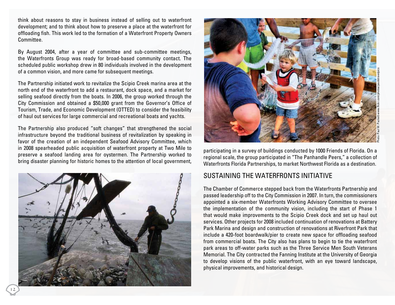think about reasons to stay in business instead of selling out to waterfront development; and to think about how to preserve a place at the waterfront for offloading fish. This work led to the formation of a Waterfront Property Owners Committee.

By August 2004, after a year of committee and sub-committee meetings, the Waterfronts Group was ready for broad-based community contact. The scheduled public workshop drew in 80 individuals involved in the development of a common vision, and more came for subsequent meetings.

The Partnership initiated work to revitalize the Scipio Creek marina area at the north end of the waterfront to add a restaurant, dock space, and a market for selling seafood directly from the boats. In 2006, the group worked through the City Commission and obtained a \$50,000 grant from the Governor's Office of Tourism, Trade, and Economic Development (OTTED) to consider the feasibility of haul out services for large commercial and recreational boats and yachts.

The Partnership also produced "soft changes" that strengthened the social infrastructure beyond the traditional business of revitalization by speaking in favor of the creation of an independent Seafood Advisory Committee, which in 2008 spearheaded public acquisition of waterfront property at Two Mile to preserve a seafood landing area for oystermen. The Partnership worked to bring disaster planning for historic homes to the attention of local government,





participating in a survey of buildings conducted by 1000 Friends of Florida. On a regional scale, the group participated in "The Panhandle Peers," a collection of Waterfronts Florida Partnerships, to market Northwest Florida as a destination.

#### Sustaining the Waterfronts Initiative

The Chamber of Commerce stepped back from the Waterfronts Partnership and passed leadership off to the City Commission in 2007. In turn, the commissioners appointed a six-member Waterfronts Working Advisory Committee to oversee the implementation of the community vision, including the start of Phase 1 that would make improvements to the Scipio Creek dock and set up haul out services. Other projects for 2008 included continuation of renovations at Battery Park Marina and design and construction of renovations at Riverfront Park that include a 420-foot boardwalk/pier to create new space for offloading seafood from commercial boats. The City also has plans to begin to tie the waterfront park areas to off-water parks such as the Three Service Men South Veterans Memorial. The City contracted the Fanning Institute at the University of Georgia to develop visions of the public waterfront, with an eye toward landscape, physical improvements, and historical design.

12